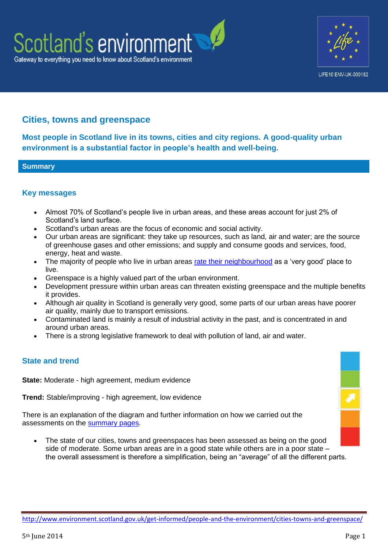



# **Cities, towns and greenspace**

**Most people in Scotland live in its towns, cities and city regions. A good-quality urban environment is a substantial factor in people's health and well-being.**

#### **Summary**

### **Key messages**

- Almost 70% of Scotland's people live in urban areas, and these areas account for just 2% of Scotland's land surface.
- Scotland's urban areas are the focus of economic and social activity.
- Our urban areas are significant: they take up resources, such as land, air and water; are the source of greenhouse gases and other emissions; and supply and consume goods and services, food, energy, heat and waste.
- The majority of people who live in urban areas [rate their neighbourhood](http://www.scotland.gov.uk/Topics/Statistics/16002/PublicationAnnual) as a 'very good' place to live.
- Greenspace is a highly valued part of the urban environment.
- Development pressure within urban areas can threaten existing greenspace and the multiple benefits it provides.
- Although air quality in Scotland is generally very good, some parts of our urban areas have poorer air quality, mainly due to transport emissions.
- Contaminated land is mainly a result of industrial activity in the past, and is concentrated in and around urban areas.
- There is a strong legislative framework to deal with pollution of land, air and water.

## **State and trend**

**State:** Moderate - high agreement, medium evidence

**Trend:** Stable/improving - high agreement, low evidence

There is an explanation of the diagram and further information on how we carried out the assessments on the **summary pages**.

 The state of our cities, towns and greenspaces has been assessed as being on the good side of moderate. Some urban areas are in a good state while others are in a poor state – the overall assessment is therefore a simplification, being an "average" of all the different parts.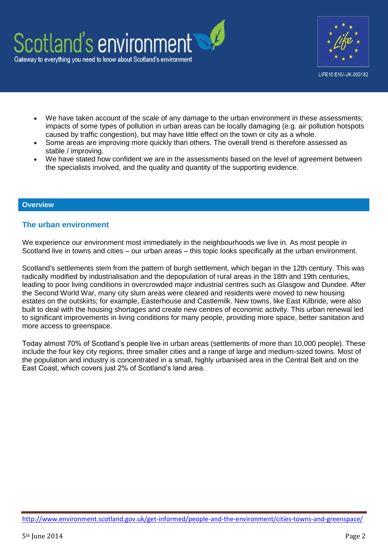

LIFE10 ENV-UK-000182

- We have taken account of the scale of any damage to the urban environment in these assessments; impacts of some types of pollution in urban areas can be locally damaging (e.g. air pollution hotspots caused by traffic congestion), but may have little effect on the town or city as a whole.
- Some areas are improving more quickly than others. The overall trend is therefore assessed as stable / improving.
- We have stated how confident we are in the assessments based on the level of agreement between the specialists involved, and the quality and quantity of the supporting evidence.

#### **Overview**

### **The urban environment**

We experience our environment most immediately in the neighbourhoods we live in. As most people in Scotland live in towns and cities – our urban areas – this topic looks specifically at the urban environment.

Scotland's settlements stem from the pattern of burgh settlement, which began in the 12th century. This was radically modified by industrialisation and the depopulation of rural areas in the 18th and 19th centuries, leading to poor living conditions in overcrowded major industrial centres such as Glasgow and Dundee. After the Second World War, many city slum areas were cleared and residents were moved to new housing estates on the outskirts; for example, Easterhouse and Castlemilk. New towns, like East Kilbride, were also built to deal with the housing shortages and create new centres of economic activity. This urban renewal led to significant improvements in living conditions for many people, providing more space, better sanitation and more access to greenspace.

Today almost 70% of Scotland's people live in urban areas (settlements of more than 10,000 people). These include the four key city regions, three smaller cities and a range of large and medium-sized towns. Most of the population and industry is concentrated in a small, highly urbanised area in the Central Belt and on the East Coast, which covers just 2% of Scotland's land area.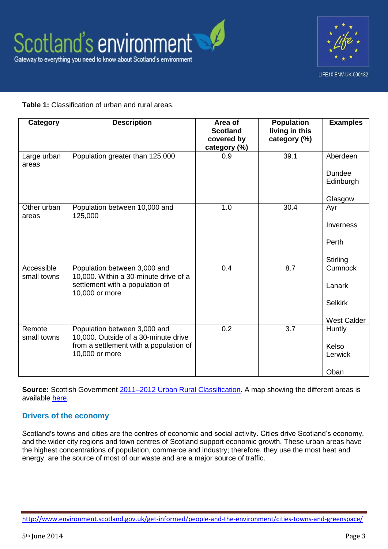

## **Table 1:** Classification of urban and rural areas.

| Category                  | <b>Description</b>                                                                                                               | Area of<br><b>Scotland</b><br>covered by<br>category (%) | <b>Population</b><br>living in this<br>category (%) | <b>Examples</b>                                           |
|---------------------------|----------------------------------------------------------------------------------------------------------------------------------|----------------------------------------------------------|-----------------------------------------------------|-----------------------------------------------------------|
| Large urban<br>areas      | Population greater than 125,000                                                                                                  | 0.9                                                      | 39.1                                                | Aberdeen<br>Dundee<br>Edinburgh<br>Glasgow                |
| Other urban<br>areas      | Population between 10,000 and<br>125,000                                                                                         | 1.0                                                      | 30.4                                                | Ayr<br>Inverness<br>Perth<br>Stirling                     |
| Accessible<br>small towns | Population between 3,000 and<br>10,000. Within a 30-minute drive of a<br>settlement with a population of<br>10,000 or more       | 0.4                                                      | 8.7                                                 | Cumnock<br>Lanark<br><b>Selkirk</b><br><b>West Calder</b> |
| Remote<br>small towns     | Population between 3,000 and<br>10,000. Outside of a 30-minute drive<br>from a settlement with a population of<br>10,000 or more | 0.2                                                      | 3.7                                                 | Huntly<br>Kelso<br>Lerwick<br>Oban                        |

**Source:** Scottish Government 2011–2012 Urban [Rural Classification.](http://www.scotland.gov.uk/Topics/Statistics/About/Methodology/UrbanRuralClassification/Urban-Rural-Classification-2011-12) A map showing the different areas is available [here.](http://www.scotland.gov.uk/Topics/Statistics/About/Methodology/UrbanRuralClassification/Urban-Rural-Classification-2011-12/6-foldUrban-Rural-2011-2012)

## **Drivers of the economy**

Scotland's towns and cities are the centres of economic and social activity. Cities drive Scotland's economy, and the wider city regions and town centres of Scotland support economic growth. These urban areas have the highest concentrations of population, commerce and industry; therefore, they use the most heat and energy, are the source of most of our waste and are a major source of traffic.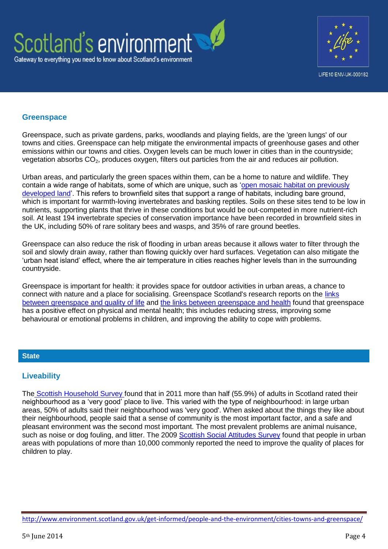



### **Greenspace**

Greenspace, such as private gardens, parks, woodlands and playing fields, are the 'green lungs' of our towns and cities. Greenspace can help mitigate the environmental impacts of greenhouse gases and other emissions within our towns and cities. Oxygen levels can be much lower in cities than in the countryside; vegetation absorbs CO<sub>2</sub>, produces oxygen, filters out particles from the air and reduces air pollution.

Urban areas, and particularly the green spaces within them, can be a home to nature and wildlife. They contain a wide range of habitats, some of which are unique, such as ['open mosaic habitat on previously](http://www.snh.org.uk/pdfs/publications/commissioned_reports/606.pdf)  [developed land'.](http://www.snh.org.uk/pdfs/publications/commissioned_reports/606.pdf) This refers to brownfield sites that support a range of habitats, including bare ground, which is important for warmth-loving invertebrates and basking reptiles. Soils on these sites tend to be low in nutrients, supporting plants that thrive in these conditions but would be out-competed in more nutrient-rich soil. At least 194 invertebrate species of conservation importance have been recorded in brownfield sites in the UK, including 50% of rare solitary bees and wasps, and 35% of rare ground beetles.

Greenspace can also reduce the risk of flooding in urban areas because it allows water to filter through the soil and slowly drain away, rather than flowing quickly over hard surfaces. Vegetation can also mitigate the 'urban heat island' effect, where the air temperature in cities reaches higher levels than in the surrounding countryside.

Greenspace is important for health: it provides space for outdoor activities in urban areas, a chance to connect with nature and a place for socialising. Greenspace Scotland's research reports on the [links](http://www.greenspacescotland.org.uk/SharedFiles/Download.aspx?pageid=133&mid=129&fileid=95)  [between greenspace and quality of life](http://www.greenspacescotland.org.uk/SharedFiles/Download.aspx?pageid=133&mid=129&fileid=95) and [the links between greenspace and health](http://www.greenspacescotland.org.uk/SharedFiles/Download.aspx?pageid=133&mid=129&fileid=85) found that greenspace has a positive effect on physical and mental health; this includes reducing stress, improving some behavioural or emotional problems in children, and improving the ability to cope with problems.

#### **State**

## **Liveability**

The [Scottish Household Survey f](http://www.scotland.gov.uk/Topics/Statistics/16002/PublicationAnnual)ound that in 2011 more than half (55.9%) of adults in Scotland rated their neighbourhood as a 'very good' place to live. This varied with the type of neighbourhood: in large urban areas, 50% of adults said their neighbourhood was 'very good'. When asked about the things they like about their neighbourhood, people said that a sense of community is the most important factor, and a safe and pleasant environment was the second most important. The most prevalent problems are animal nuisance, such as noise or dog fouling, and litter. The 2009 [Scottish Social Attitudes Survey](http://www.scotland.gov.uk/Publications/2010/07/01091850/1) found that people in urban areas with populations of more than 10,000 commonly reported the need to improve the quality of places for children to play.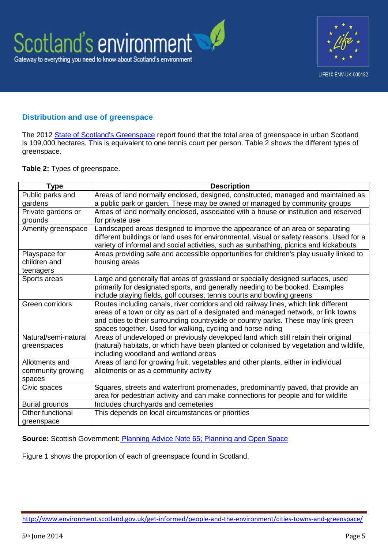

## **Distribution and use of greenspace**

The 2012 [State of Scotland's Greenspace](http://www.greenspacescotland.org.uk/state-of-scotlands-greenspace.aspx) report found that the total area of greenspace in urban Scotland is 109,000 hectares. This is equivalent to one tennis court per person. Table 2 shows the different types of greenspace.

#### **Table 2:** Types of greenspace.

| <b>Type</b>           | <b>Description</b>                                                                       |
|-----------------------|------------------------------------------------------------------------------------------|
| Public parks and      | Areas of land normally enclosed, designed, constructed, managed and maintained as        |
| gardens               | a public park or garden. These may be owned or managed by community groups               |
| Private gardens or    | Areas of land normally enclosed, associated with a house or institution and reserved     |
| grounds               | for private use                                                                          |
| Amenity greenspace    | Landscaped areas designed to improve the appearance of an area or separating             |
|                       | different buildings or land uses for environmental, visual or safety reasons. Used for a |
|                       | variety of informal and social activities, such as sunbathing, picnics and kickabouts    |
| Playspace for         | Areas providing safe and accessible opportunities for children's play usually linked to  |
| children and          | housing areas                                                                            |
| teenagers             |                                                                                          |
| Sports areas          | Large and generally flat areas of grassland or specially designed surfaces, used         |
|                       | primarily for designated sports, and generally needing to be booked. Examples            |
|                       | include playing fields, golf courses, tennis courts and bowling greens                   |
| Green corridors       | Routes including canals, river corridors and old railway lines, which link different     |
|                       | areas of a town or city as part of a designated and managed network, or link towns       |
|                       | and cities to their surrounding countryside or country parks. These may link green       |
|                       | spaces together. Used for walking, cycling and horse-riding                              |
| Natural/semi-natural  | Areas of undeveloped or previously developed land which still retain their original      |
| greenspaces           | (natural) habitats, or which have been planted or colonised by vegetation and wildlife,  |
|                       | including woodland and wetland areas                                                     |
| Allotments and        | Areas of land for growing fruit, vegetables and other plants, either in individual       |
| community growing     | allotments or as a community activity                                                    |
| spaces                |                                                                                          |
| Civic spaces          | Squares, streets and waterfront promenades, predominantly paved, that provide an         |
|                       | area for pedestrian activity and can make connections for people and for wildlife        |
| <b>Burial grounds</b> | Includes churchyards and cemeteries                                                      |
| Other functional      | This depends on local circumstances or priorities                                        |
| greenspace            |                                                                                          |

**Source:** Scottish Government: [Planning Advice Note 65; Planning and Open Space](http://www.scotland.gov.uk/Publications/2008/05/30100623/0)

Figure 1 shows the proportion of each of greenspace found in Scotland.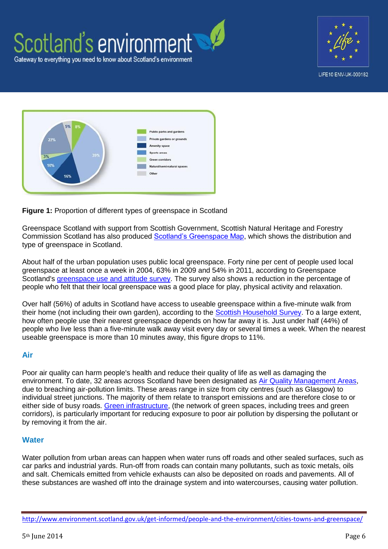





#### **Figure 1:** Proportion of different types of greenspace in Scotland

Greenspace Scotland with support from Scottish Government, Scottish Natural Heritage and Forestry Commission Scotland has also produced [Scotland's Greenspace Map,](http://www.greenspacescotland.org.uk/scotlandsgreenspacemap/) which shows the distribution and type of greenspace in Scotland.

About half of the urban population uses public local greenspace. Forty nine per cent of people used local greenspace at least once a week in 2004, 63% in 2009 and 54% in 2011, according to Greenspace Scotland's [greenspace use and attitude survey.](http://www.greenspacescotland.org.uk/1greenspace-survey-2011.aspx) The survey also shows a reduction in the percentage of people who felt that their local greenspace was a good place for play, physical activity and relaxation.

Over half (56%) of adults in Scotland have access to useable greenspace within a five-minute walk from their home (not including their own garden), according to the [Scottish Household Survey.](http://www.scotland.gov.uk/Topics/Statistics/16002/PublicationAnnual) To a large extent, how often people use their nearest greenspace depends on how far away it is. Just under half (44%) of people who live less than a five-minute walk away visit every day or several times a week. When the nearest useable greenspace is more than 10 minutes away, this figure drops to 11%.

#### **Air**

Poor air quality can harm people's health and reduce their quality of life as well as damaging the environment. To date, 32 areas across Scotland have been designated as [Air Quality Management Areas,](http://www.scottishairquality.co.uk/laqm.php) due to breaching air-pollution limits. These areas range in size from city centres (such as Glasgow) to individual street junctions. The majority of them relate to transport emissions and are therefore close to or either side of busy roads. [Green infrastructure,](http://www.scotland.gov.uk/Publications/2011/11/04140525/0) (the network of green spaces, including trees and green corridors), is particularly important for reducing exposure to poor air pollution by dispersing the pollutant or by removing it from the air.

#### **Water**

Water pollution from urban areas can happen when water runs off roads and other sealed surfaces, such as car parks and industrial yards. Run-off from roads can contain many pollutants, such as toxic metals, oils and salt. Chemicals emitted from vehicle exhausts can also be deposited on roads and pavements. All of these substances are washed off into the drainage system and into watercourses, causing water pollution.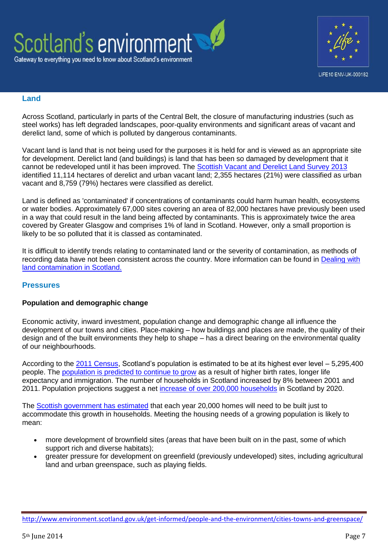



### **Land**

Across Scotland, particularly in parts of the Central Belt, the closure of manufacturing industries (such as steel works) has left degraded landscapes, poor-quality environments and significant areas of vacant and derelict land, some of which is polluted by dangerous contaminants.

Vacant land is land that is not being used for the purposes it is held for and is viewed as an appropriate site for development. Derelict land (and buildings) is land that has been so damaged by development that it cannot be redeveloped until it has been improved. The [Scottish Vacant and Derelict Land Survey 2013](http://www.scotland.gov.uk/Publications/2014/02/7170) identified 11,114 hectares of derelict and urban vacant land; 2,355 hectares (21%) were classified as urban vacant and 8,759 (79%) hectares were classified as derelict.

Land is defined as 'contaminated' if concentrations of contaminants could harm human health, ecosystems or water bodies. Approximately 67,000 sites covering an area of 82,000 hectares have previously been used in a way that could result in the land being affected by contaminants. This is approximately twice the area covered by Greater Glasgow and comprises 1% of land in Scotland. However, only a small proportion is likely to be so polluted that it is classed as contaminated.

It is difficult to identify trends relating to contaminated land or the severity of contamination, as methods of recording data have not been consistent across the country. More information can be found in [Dealing with](http://www.sepa.org.uk/land/idoc.ashx?docid=a56ce42d-2f77-4e10-a3c5-71217c1c0de9&version=-1)  [land contamination in Scotland.](http://www.sepa.org.uk/land/idoc.ashx?docid=a56ce42d-2f77-4e10-a3c5-71217c1c0de9&version=-1)

## **Pressures**

## **Population and demographic change**

Economic activity, inward investment, population change and demographic change all influence the development of our towns and cities. Place-making – how buildings and places are made, the quality of their design and of the built environments they help to shape – has a direct bearing on the environmental quality of our neighbourhoods.

According to the [2011 Census,](http://www.scotlandscensus.gov.uk/en/censusresults/bulletin.html) Scotland's population is estimated to be at its highest ever level – 5,295,400 people. The [population is predicted to continue to grow](http://www.gro-scotland.gov.uk/statistics/theme/population/index.html) as a result of higher birth rates, longer life expectancy and immigration. The number of households in Scotland increased by 8% between 2001 and 2011. Population projections suggest a net [increase of over 200,000 households](http://www.gro-scotland.gov.uk/statistics/theme/households/index.html) in Scotland by 2020.

The [Scottish government has estimated](http://www.scotland.gov.uk/Publications/2011/02/03132933/3) that each year 20,000 homes will need to be built just to accommodate this growth in households. Meeting the housing needs of a growing population is likely to mean:

- more development of brownfield sites (areas that have been built on in the past, some of which support rich and diverse habitats);
- greater pressure for development on greenfield (previously undeveloped) sites, including agricultural land and urban greenspace, such as playing fields.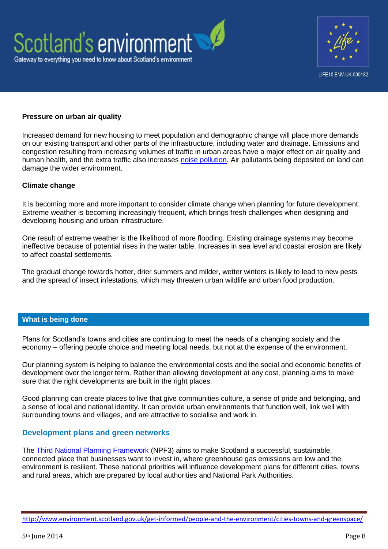



#### **Pressure on urban air quality**

Increased demand for new housing to meet population and demographic change will place more demands on our existing transport and other parts of the infrastructure, including water and drainage. Emissions and congestion resulting from increasing volumes of traffic in urban areas have a major effect on air quality and human health, and the extra traffic also increases [noise pollution.](http://www.scottishnoisemapping.org/) Air pollutants being deposited on land can damage the wider environment.

#### **Climate change**

It is becoming more and more important to consider climate change when planning for future development. Extreme weather is becoming increasingly frequent, which brings fresh challenges when designing and developing housing and urban infrastructure.

One result of extreme weather is the likelihood of more flooding. Existing drainage systems may become ineffective because of potential rises in the water table. Increases in sea level and coastal erosion are likely to affect coastal settlements.

The gradual change towards hotter, drier summers and milder, wetter winters is likely to lead to new pests and the spread of insect infestations, which may threaten urban wildlife and urban food production.

#### **What is being done**

Plans for Scotland's towns and cities are continuing to meet the needs of a changing society and the economy – offering people choice and meeting local needs, but not at the expense of the environment.

Our planning system is helping to balance the environmental costs and the social and economic benefits of development over the longer term. Rather than allowing development at any cost, planning aims to make sure that the right developments are built in the right places.

Good planning can create places to live that give communities culture, a sense of pride and belonging, and a sense of local and national identity. It can provide urban environments that function well, link well with surrounding towns and villages, and are attractive to socialise and work in.

#### **Development plans and green networks**

The [Third National Planning Framework](http://www.scotland.gov.uk/Topics/Built-Environment/planning/National-Planning-Framework) (NPF3) aims to make Scotland a successful, sustainable, connected place that businesses want to invest in, where greenhouse gas emissions are low and the environment is resilient. These national priorities will influence development plans for different cities, towns and rural areas, which are prepared by local authorities and National Park Authorities.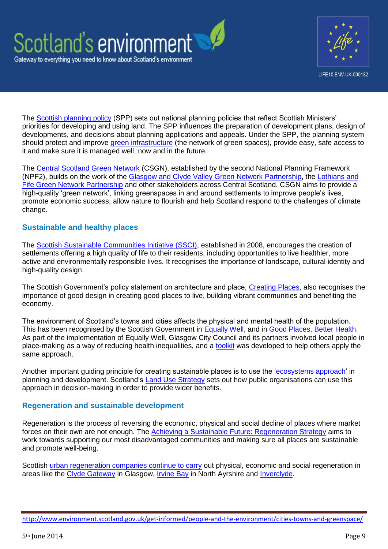



The [Scottish planning policy](http://www.scotland.gov.uk/Topics/Built-Environment/planning/Policy) (SPP) sets out national planning policies that reflect Scottish Ministers' priorities for developing and using land. The SPP influences the preparation of development plans, design of developments, and decisions about planning applications and appeals. Under the SPP, the planning system should protect and improve [green infrastructure](http://www.scotland.gov.uk/Publications/2011/11/04140525/0) (the network of green spaces), provide easy, safe access to it and make sure it is managed well, now and in the future.

The [Central Scotland Green Network](http://www.centralscotlandgreennetwork.org/) (CSGN), established by the second National Planning Framework (NPF2), builds on the work of the [Glasgow and Clyde Valley Green Network Partnership,](http://www.gcvgreennetwork.gov.uk/) the [Lothians and](http://www.elfhnp.org.uk/)  [Fife Green Network Partnership](http://www.elfhnp.org.uk/) and other stakeholders across Central Scotland. CSGN aims to provide a high-quality 'green network', linking greenspaces in and around settlements to improve people's lives, promote economic success, allow nature to flourish and help Scotland respond to the challenges of climate change.

## **Sustainable and healthy places**

The [Scottish Sustainable Communities Initiative \(SSCI\),](http://www.scotland.gov.uk/Topics/Built-Environment/AandP/Projects/SSCI) established in 2008, encourages the creation of settlements offering a high quality of life to their residents, including opportunities to live healthier, more active and environmentally responsible lives. It recognises the importance of landscape, cultural identity and high-quality design.

The Scottish Government's policy statement on architecture and place, [Creating Places,](http://www.scotland.gov.uk/Resource/0042/00425496.pdf) also recognises the importance of good design in creating good places to live, building vibrant communities and benefiting the economy.

The environment of Scotland's towns and cities affects the physical and mental health of the population. This has been recognised by the Scottish Government in [Equally Well,](http://www.scotland.gov.uk/Topics/Health/Healthy-Living/Health-Inequalities/Equally-Well) and in [Good Places, Better Health.](http://www.scotland.gov.uk/Topics/Health/Healthy-Living/Good-Places-Better-Health) As part of the implementation of Equally Well, Glasgow City Council and its partners involved local people in place-making as a way of reducing health inequalities, and a [toolkit](http://www.hsnplacemaker.com/) was developed to help others apply the same approach.

Another important guiding principle for creating sustainable places is to use the ['ecosystems approach'](http://www.scotland.gov.uk/Topics/Environment/Countryside/Landusestrategy/ecosystemsapproach) in planning and development. Scotland's [Land Use Strategy](http://www.scotland.gov.uk/Topics/Environment/Countryside/Landusestrategy) sets out how public organisations can use this approach in decision-making in order to provide wider benefits.

## **Regeneration and sustainable development**

Regeneration is the process of reversing the economic, physical and social decline of places where market forces on their own are not enough. The [Achieving a Sustainable Future: Regeneration Strategy](http://www.scotland.gov.uk/Publications/2011/12/09110320/0) aims to work towards supporting our most disadvantaged communities and making sure all places are sustainable and promote well-being.

Scottish [urban regeneration companies continue to carry](http://www.scotland.gov.uk/Topics/Built-Environment/regeneration/17735) out physical, economic and social regeneration in areas like the [Clyde Gateway](http://www.scotland.gov.uk/Topics/Built-Environment/regeneration/17735/clyde-gateway) in Glasgow, [Irvine Bay](http://www.scotland.gov.uk/Topics/Built-Environment/regeneration/17735/irvine-bay) in North Ayrshire and [Inverclyde.](http://www.scotland.gov.uk/Topics/Built-Environment/regeneration/17735/riverside-inverclyde)

<http://www.environment.scotland.gov.uk/get-informed/people-and-the-environment/cities-towns-and-greenspace/>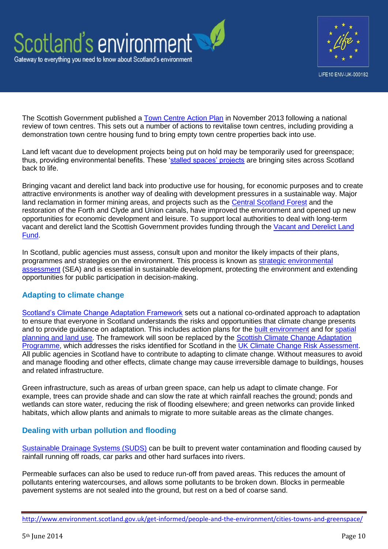



The Scottish Government published a [Town Centre Action Plan](http://www.scotland.gov.uk/Publications/2013/11/6415/downloads) in November 2013 following a national review of town centres. This sets out a number of actions to revitalise town centres, including providing a demonstration town centre housing fund to bring empty town centre properties back into use.

Land left vacant due to development projects being put on hold may be temporarily used for greenspace; thus, providing environmental benefits. These ['stalled spaces' projects](http://www.greenspacescotland.org.uk/stalled-spaces.aspx) are bringing sites across Scotland back to life.

Bringing vacant and derelict land back into productive use for housing, for economic purposes and to create attractive environments is another way of dealing with development pressures in a sustainable way. Major land reclamation in former mining areas, and projects such as the [Central Scotland Forest](http://www.csft.org.uk/) and the restoration of the Forth and Clyde and Union canals, have improved the environment and opened up new opportunities for economic development and leisure. To support local authorities to deal with long-term vacant and derelict land the Scottish Government provides funding through the [Vacant and Derelict Land](http://www.scotland.gov.uk/Topics/Built-Environment/regeneration/investment/vdlf)  [Fund.](http://www.scotland.gov.uk/Topics/Built-Environment/regeneration/investment/vdlf)

In Scotland, public agencies must assess, consult upon and monitor the likely impacts of their plans, programmes and strategies on the environment. This process is known as strategic environmental [assessment](http://www.scotland.gov.uk/Topics/Environment/environmental-assessment/sea) (SEA) and is essential in sustainable development, protecting the environment and extending opportunities for public participation in decision-making.

## **Adapting to climate change**

[Scotland's Climate Change Adaptation Framework](http://www.scotland.gov.uk/Topics/Environment/climatechange/scotlands-action/adaptation/AdaptationFramework) sets out a national co-ordinated approach to adaptation to ensure that everyone in Scotland understands the risks and opportunities that climate change presents and to provide guidance on adaptation. This includes action plans for the [built environment](http://www.scotland.gov.uk/Topics/Environment/climatechange/scotlands-action/adaptation/AdaptationFramework/SAP/BuiltEnvironment) and for [spatial](http://www.scotland.gov.uk/Topics/Environment/climatechange/scotlands-action/adaptation/AdaptationFramework/SAP/SpatialPlanning-1)  [planning and land use.](http://www.scotland.gov.uk/Topics/Environment/climatechange/scotlands-action/adaptation/AdaptationFramework/SAP/SpatialPlanning-1) The framework will soon be replaced by the Scottish Climate Change Adaptation [Programme,](http://www.scotland.gov.uk/Topics/Environment/climatechange/scotlands-action/adaptation/AdaptationProgramme) which addresses the risks identified for Scotland in the [UK Climate Change Risk Assessment.](https://www.gov.uk/government/publications/uk-climate-change-risk-assessment-government-report) All public agencies in Scotland have to contribute to adapting to climate change. Without measures to avoid and manage flooding and other effects, climate change may cause irreversible damage to buildings, houses and related infrastructure.

Green infrastructure, such as areas of urban green space, can help us adapt to climate change. For example, trees can provide shade and can slow the rate at which rainfall reaches the ground; ponds and wetlands can store water, reducing the risk of flooding elsewhere; and green networks can provide linked habitats, which allow plants and animals to migrate to more suitable areas as the climate changes.

## **Dealing with urban pollution and flooding**

[Sustainable Drainage Systems \(SUDS\)](http://www.sepa.org.uk/water/water_regulation/regimes/pollution_control/suds.aspx) can be built to prevent water contamination and flooding caused by rainfall running off roads, car parks and other hard surfaces into rivers.

Permeable surfaces can also be used to reduce run-off from paved areas. This reduces the amount of pollutants entering watercourses, and allows some pollutants to be broken down. Blocks in permeable pavement systems are not sealed into the ground, but rest on a bed of coarse sand.